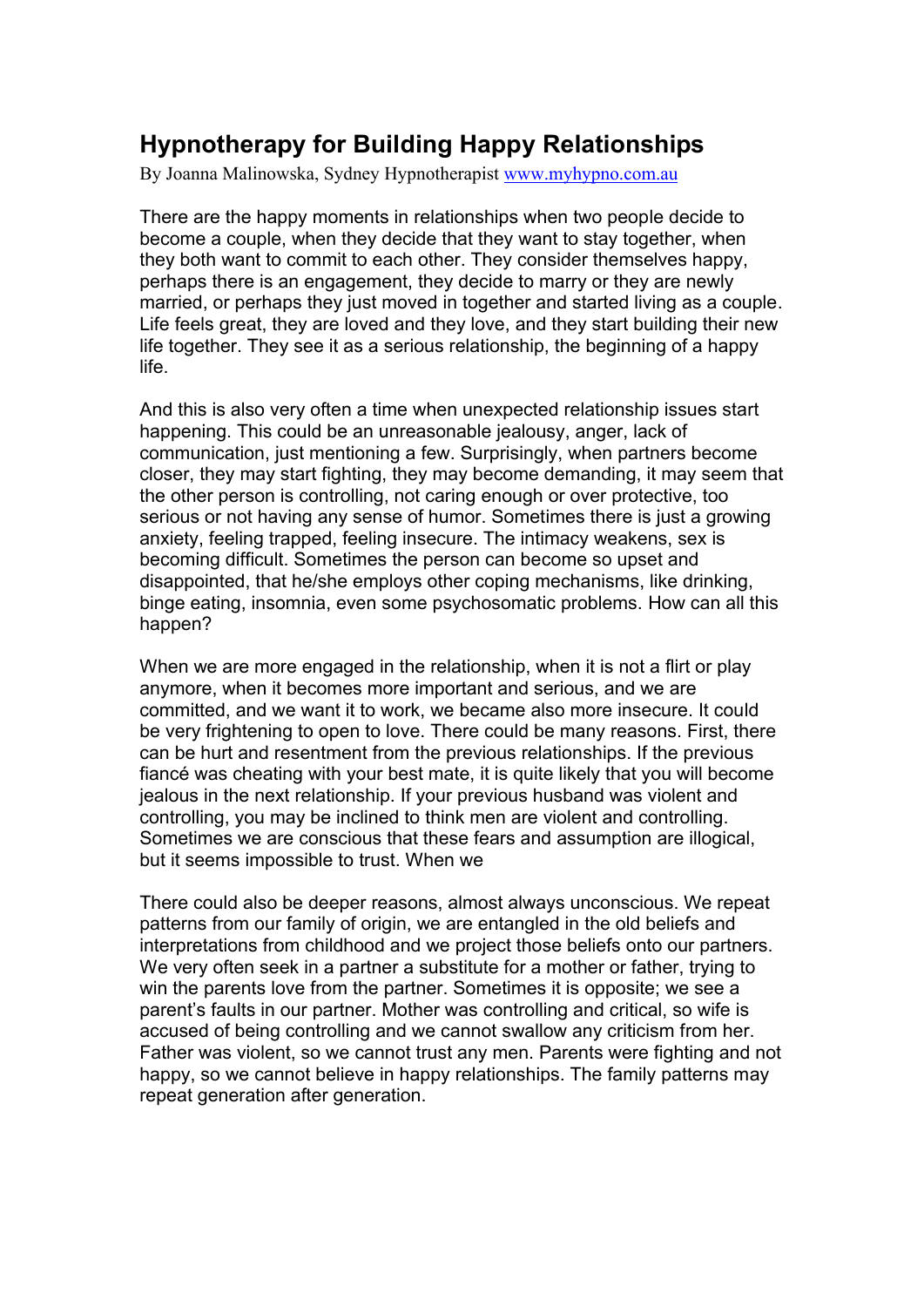## **Hypnotherapy for Building Happy Relationships**

By Joanna Malinowska, Sydney Hypnotherapist www.myhypno.com.au

There are the happy moments in relationships when two people decide to become a couple, when they decide that they want to stay together, when they both want to commit to each other. They consider themselves happy, perhaps there is an engagement, they decide to marry or they are newly married, or perhaps they just moved in together and started living as a couple. Life feels great, they are loved and they love, and they start building their new life together. They see it as a serious relationship, the beginning of a happy life.

And this is also very often a time when unexpected relationship issues start happening. This could be an unreasonable jealousy, anger, lack of communication, just mentioning a few. Surprisingly, when partners become closer, they may start fighting, they may become demanding, it may seem that the other person is controlling, not caring enough or over protective, too serious or not having any sense of humor. Sometimes there is just a growing anxiety, feeling trapped, feeling insecure. The intimacy weakens, sex is becoming difficult. Sometimes the person can become so upset and disappointed, that he/she employs other coping mechanisms, like drinking, binge eating, insomnia, even some psychosomatic problems. How can all this happen?

When we are more engaged in the relationship, when it is not a flirt or play anymore, when it becomes more important and serious, and we are committed, and we want it to work, we became also more insecure. It could be very frightening to open to love. There could be many reasons. First, there can be hurt and resentment from the previous relationships. If the previous fiancé was cheating with your best mate, it is quite likely that you will become jealous in the next relationship. If your previous husband was violent and controlling, you may be inclined to think men are violent and controlling. Sometimes we are conscious that these fears and assumption are illogical, but it seems impossible to trust. When we

There could also be deeper reasons, almost always unconscious. We repeat patterns from our family of origin, we are entangled in the old beliefs and interpretations from childhood and we project those beliefs onto our partners. We very often seek in a partner a substitute for a mother or father, trying to win the parents love from the partner. Sometimes it is opposite; we see a parent's faults in our partner. Mother was controlling and critical, so wife is accused of being controlling and we cannot swallow any criticism from her. Father was violent, so we cannot trust any men. Parents were fighting and not happy, so we cannot believe in happy relationships. The family patterns may repeat generation after generation.